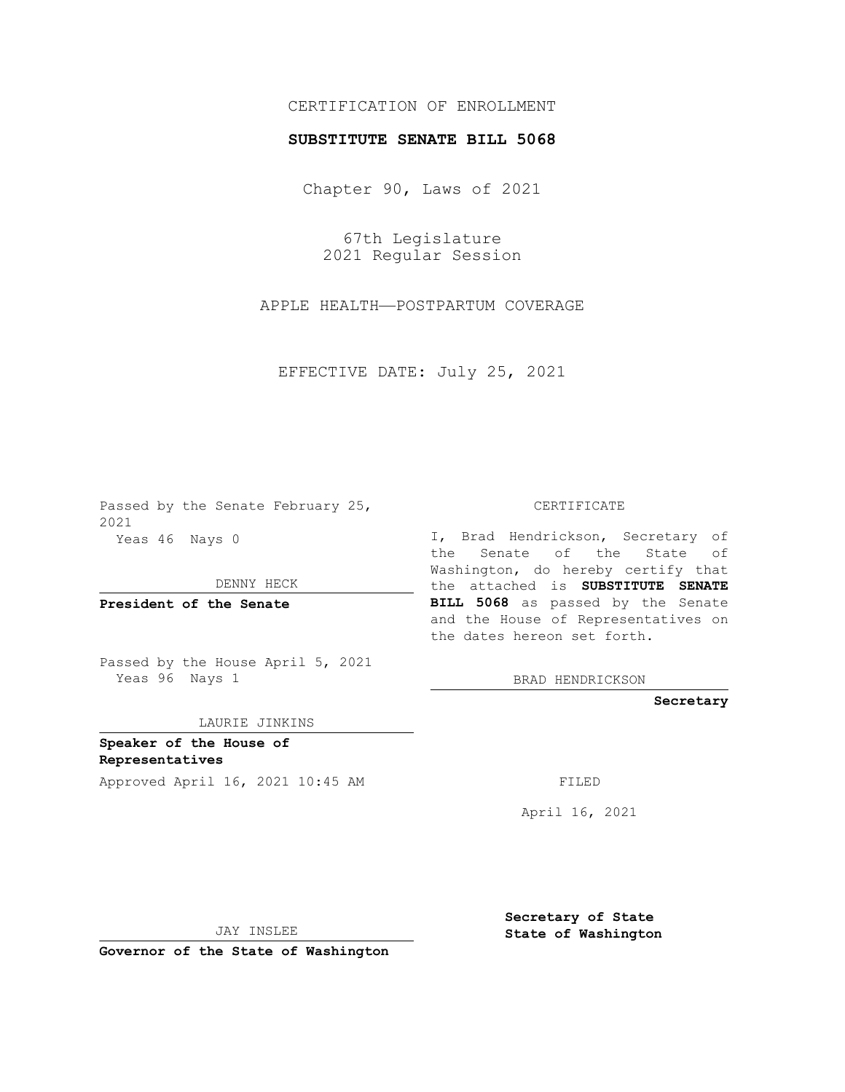## CERTIFICATION OF ENROLLMENT

## **SUBSTITUTE SENATE BILL 5068**

Chapter 90, Laws of 2021

67th Legislature 2021 Regular Session

APPLE HEALTH—POSTPARTUM COVERAGE

EFFECTIVE DATE: July 25, 2021

Passed by the Senate February 25, 2021 Yeas 46 Nays 0

DENNY HECK

**President of the Senate**

Passed by the House April 5, 2021 Yeas 96 Nays 1

LAURIE JINKINS

**Speaker of the House of Representatives** Approved April 16, 2021 10:45 AM

CERTIFICATE

I, Brad Hendrickson, Secretary of the Senate of the State of Washington, do hereby certify that the attached is **SUBSTITUTE SENATE BILL 5068** as passed by the Senate and the House of Representatives on the dates hereon set forth.

BRAD HENDRICKSON

**Secretary**

April 16, 2021

JAY INSLEE

**Governor of the State of Washington**

**Secretary of State State of Washington**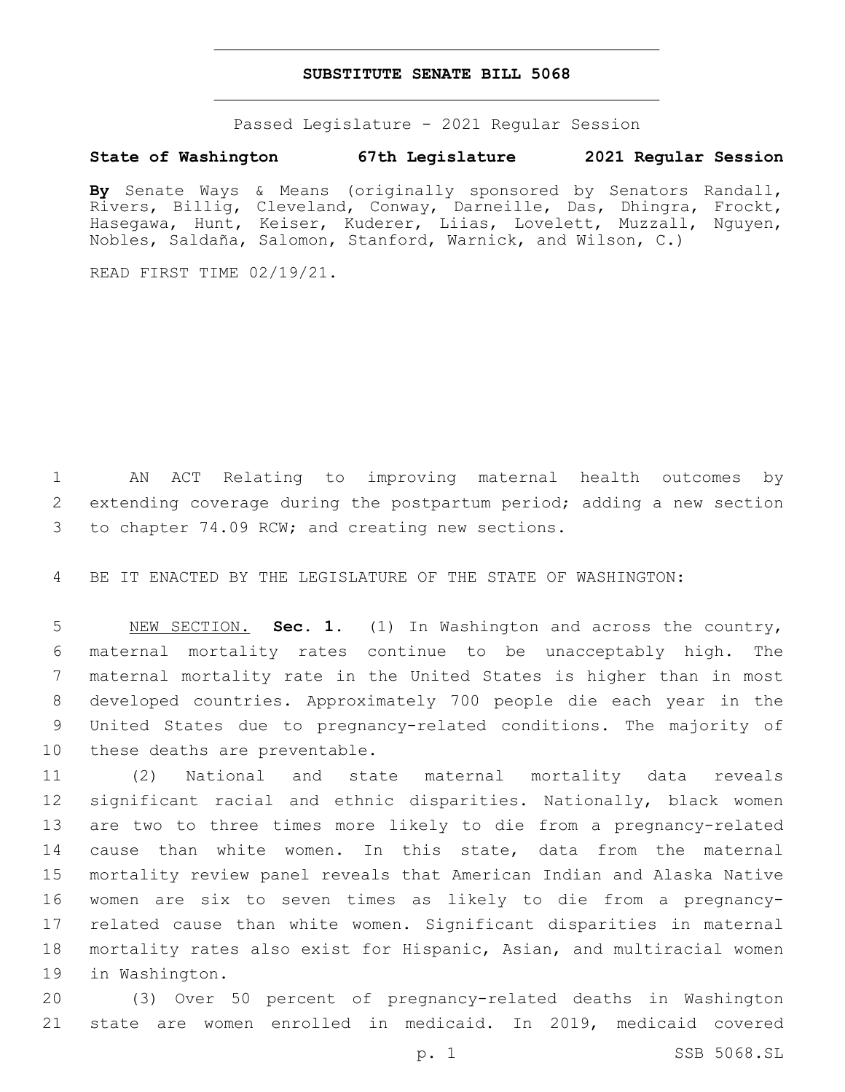## **SUBSTITUTE SENATE BILL 5068**

Passed Legislature - 2021 Regular Session

## **State of Washington 67th Legislature 2021 Regular Session**

**By** Senate Ways & Means (originally sponsored by Senators Randall, Rivers, Billig, Cleveland, Conway, Darneille, Das, Dhingra, Frockt, Hasegawa, Hunt, Keiser, Kuderer, Liias, Lovelett, Muzzall, Nguyen, Nobles, Saldaña, Salomon, Stanford, Warnick, and Wilson, C.)

READ FIRST TIME 02/19/21.

 AN ACT Relating to improving maternal health outcomes by extending coverage during the postpartum period; adding a new section 3 to chapter 74.09 RCW; and creating new sections.

BE IT ENACTED BY THE LEGISLATURE OF THE STATE OF WASHINGTON:

 NEW SECTION. **Sec. 1.** (1) In Washington and across the country, maternal mortality rates continue to be unacceptably high. The maternal mortality rate in the United States is higher than in most developed countries. Approximately 700 people die each year in the United States due to pregnancy-related conditions. The majority of these deaths are preventable.

 (2) National and state maternal mortality data reveals significant racial and ethnic disparities. Nationally, black women are two to three times more likely to die from a pregnancy-related cause than white women. In this state, data from the maternal mortality review panel reveals that American Indian and Alaska Native women are six to seven times as likely to die from a pregnancy- related cause than white women. Significant disparities in maternal mortality rates also exist for Hispanic, Asian, and multiracial women 19 in Washington.

 (3) Over 50 percent of pregnancy-related deaths in Washington state are women enrolled in medicaid. In 2019, medicaid covered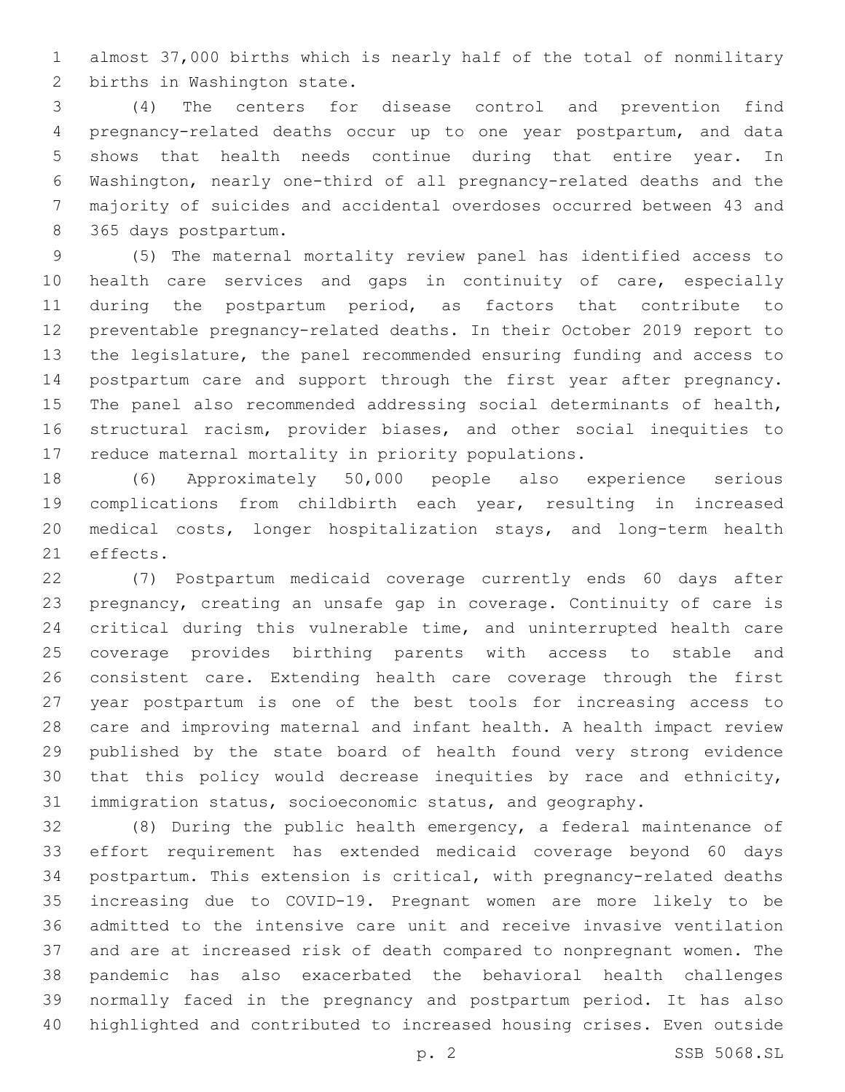almost 37,000 births which is nearly half of the total of nonmilitary 2 births in Washington state.

 (4) The centers for disease control and prevention find pregnancy-related deaths occur up to one year postpartum, and data shows that health needs continue during that entire year. In Washington, nearly one-third of all pregnancy-related deaths and the majority of suicides and accidental overdoses occurred between 43 and 365 days postpartum.8

 (5) The maternal mortality review panel has identified access to health care services and gaps in continuity of care, especially during the postpartum period, as factors that contribute to preventable pregnancy-related deaths. In their October 2019 report to the legislature, the panel recommended ensuring funding and access to postpartum care and support through the first year after pregnancy. The panel also recommended addressing social determinants of health, structural racism, provider biases, and other social inequities to reduce maternal mortality in priority populations.

 (6) Approximately 50,000 people also experience serious complications from childbirth each year, resulting in increased medical costs, longer hospitalization stays, and long-term health 21 effects.

 (7) Postpartum medicaid coverage currently ends 60 days after pregnancy, creating an unsafe gap in coverage. Continuity of care is critical during this vulnerable time, and uninterrupted health care coverage provides birthing parents with access to stable and consistent care. Extending health care coverage through the first year postpartum is one of the best tools for increasing access to care and improving maternal and infant health. A health impact review published by the state board of health found very strong evidence that this policy would decrease inequities by race and ethnicity, immigration status, socioeconomic status, and geography.

 (8) During the public health emergency, a federal maintenance of effort requirement has extended medicaid coverage beyond 60 days postpartum. This extension is critical, with pregnancy-related deaths increasing due to COVID-19. Pregnant women are more likely to be admitted to the intensive care unit and receive invasive ventilation and are at increased risk of death compared to nonpregnant women. The pandemic has also exacerbated the behavioral health challenges normally faced in the pregnancy and postpartum period. It has also highlighted and contributed to increased housing crises. Even outside

p. 2 SSB 5068.SL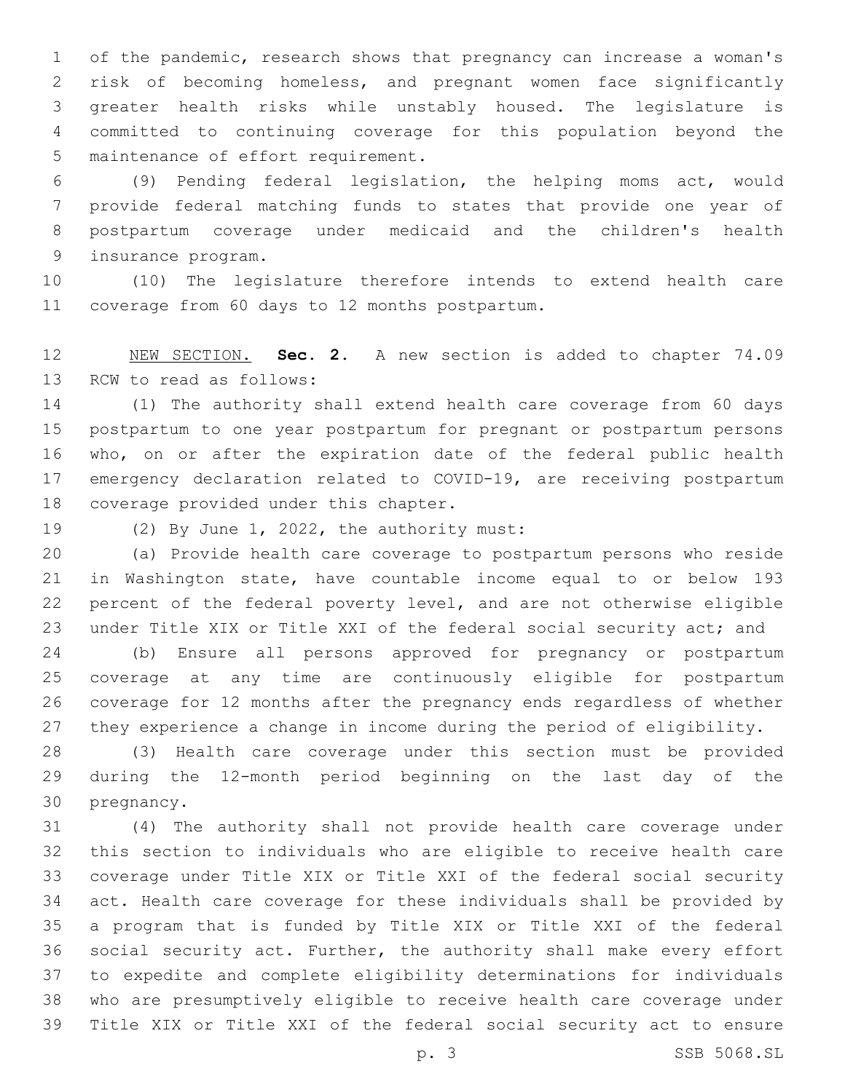of the pandemic, research shows that pregnancy can increase a woman's risk of becoming homeless, and pregnant women face significantly greater health risks while unstably housed. The legislature is committed to continuing coverage for this population beyond the 5 maintenance of effort requirement.

 (9) Pending federal legislation, the helping moms act, would provide federal matching funds to states that provide one year of postpartum coverage under medicaid and the children's health 9 insurance program.

 (10) The legislature therefore intends to extend health care 11 coverage from 60 days to 12 months postpartum.

 NEW SECTION. **Sec. 2.** A new section is added to chapter 74.09 13 RCW to read as follows:

 (1) The authority shall extend health care coverage from 60 days postpartum to one year postpartum for pregnant or postpartum persons who, on or after the expiration date of the federal public health emergency declaration related to COVID-19, are receiving postpartum 18 coverage provided under this chapter.

19 (2) By June 1, 2022, the authority must:

 (a) Provide health care coverage to postpartum persons who reside in Washington state, have countable income equal to or below 193 percent of the federal poverty level, and are not otherwise eligible under Title XIX or Title XXI of the federal social security act; and

 (b) Ensure all persons approved for pregnancy or postpartum coverage at any time are continuously eligible for postpartum coverage for 12 months after the pregnancy ends regardless of whether they experience a change in income during the period of eligibility.

 (3) Health care coverage under this section must be provided during the 12-month period beginning on the last day of the 30 pregnancy.

 (4) The authority shall not provide health care coverage under this section to individuals who are eligible to receive health care coverage under Title XIX or Title XXI of the federal social security act. Health care coverage for these individuals shall be provided by a program that is funded by Title XIX or Title XXI of the federal social security act. Further, the authority shall make every effort to expedite and complete eligibility determinations for individuals who are presumptively eligible to receive health care coverage under Title XIX or Title XXI of the federal social security act to ensure

p. 3 SSB 5068.SL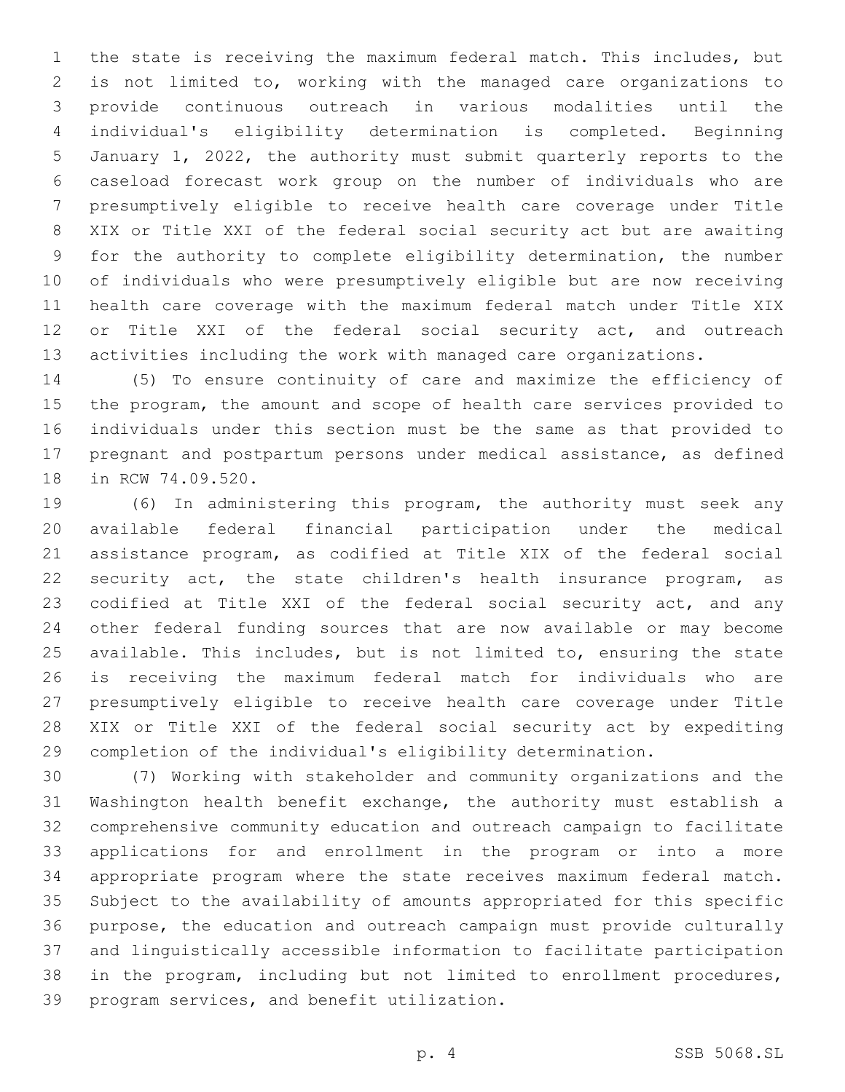the state is receiving the maximum federal match. This includes, but is not limited to, working with the managed care organizations to provide continuous outreach in various modalities until the individual's eligibility determination is completed. Beginning January 1, 2022, the authority must submit quarterly reports to the caseload forecast work group on the number of individuals who are presumptively eligible to receive health care coverage under Title XIX or Title XXI of the federal social security act but are awaiting for the authority to complete eligibility determination, the number of individuals who were presumptively eligible but are now receiving health care coverage with the maximum federal match under Title XIX or Title XXI of the federal social security act, and outreach activities including the work with managed care organizations.

 (5) To ensure continuity of care and maximize the efficiency of the program, the amount and scope of health care services provided to individuals under this section must be the same as that provided to pregnant and postpartum persons under medical assistance, as defined 18 in RCW 74.09.520.

 (6) In administering this program, the authority must seek any available federal financial participation under the medical assistance program, as codified at Title XIX of the federal social security act, the state children's health insurance program, as codified at Title XXI of the federal social security act, and any other federal funding sources that are now available or may become available. This includes, but is not limited to, ensuring the state is receiving the maximum federal match for individuals who are presumptively eligible to receive health care coverage under Title XIX or Title XXI of the federal social security act by expediting completion of the individual's eligibility determination.

 (7) Working with stakeholder and community organizations and the Washington health benefit exchange, the authority must establish a comprehensive community education and outreach campaign to facilitate applications for and enrollment in the program or into a more appropriate program where the state receives maximum federal match. Subject to the availability of amounts appropriated for this specific purpose, the education and outreach campaign must provide culturally and linguistically accessible information to facilitate participation in the program, including but not limited to enrollment procedures, 39 program services, and benefit utilization.